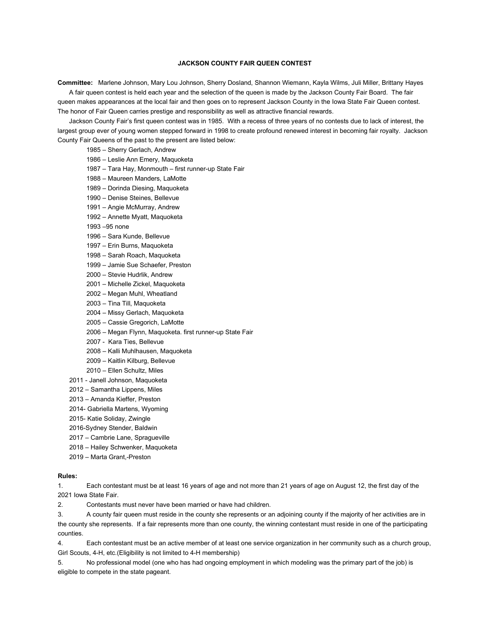## **JACKSON COUNTY FAIR QUEEN CONTEST**

**Committee:** Marlene Johnson, Mary Lou Johnson, Sherry Dosland, Shannon Wiemann, Kayla Wilms, Juli Miller, Brittany Hayes

A fair queen contest is held each year and the selection of the queen is made by the Jackson County Fair Board. The fair queen makes appearances at the local fair and then goes on to represent Jackson County in the Iowa State Fair Queen contest. The honor of Fair Queen carries prestige and responsibility as well as attractive financial rewards.

Jackson County Fair's first queen contest was in 1985. With a recess of three years of no contests due to lack of interest, the largest group ever of young women stepped forward in 1998 to create profound renewed interest in becoming fair royalty. Jackson County Fair Queens of the past to the present are listed below:

1985 – Sherry Gerlach, Andrew

- 1986 Leslie Ann Emery, Maquoketa
- 1987 Tara Hay, Monmouth first runner-up State Fair
- 1988 Maureen Manders, LaMotte
- 1989 Dorinda Diesing, Maquoketa
- 1990 Denise Steines, Bellevue
- 1991 Angie McMurray, Andrew
- 1992 Annette Myatt, Maquoketa
- 1993 –95 none
- 1996 Sara Kunde, Bellevue
- 1997 Erin Burns, Maquoketa
- 1998 Sarah Roach, Maquoketa
- 1999 Jamie Sue Schaefer, Preston
- 2000 Stevie Hudrlik, Andrew
- 2001 Michelle Zickel, Maquoketa
- 2002 Megan Muhl, Wheatland
- 2003 Tina Till, Maquoketa
- 2004 Missy Gerlach, Maquoketa
- 2005 Cassie Gregorich, LaMotte
- 2006 Megan Flynn, Maquoketa. first runner-up State Fair
- 2007 Kara Ties, Bellevue
- 2008 Kalli Muhlhausen, Maquoketa
- 2009 Kaitlin Kilburg, Bellevue
- 2010 Ellen Schultz, Miles
- 2011 Janell Johnson, Maquoketa
- 2012 Samantha Lippens, Miles
- 2013 Amanda Kieffer, Preston
- 2014- Gabriella Martens, Wyoming
- 2015- Katie Soliday, Zwingle
- 2016-Sydney Stender, Baldwin
- 2017 Cambrie Lane, Spragueville
- 2018 Hailey Schwenker, Maquoketa
- 2019 Marta Grant,-Preston

## **Rules:**

1. Each contestant must be at least 16 years of age and not more than 21 years of age on August 12, the first day of the 2021 Iowa State Fair.

2. Contestants must never have been married or have had children.

3. A county fair queen must reside in the county she represents or an adjoining county if the majority of her activities are in the county she represents. If a fair represents more than one county, the winning contestant must reside in one of the participating counties.

4. Each contestant must be an active member of at least one service organization in her community such as a church group, Girl Scouts, 4-H, etc.(Eligibility is not limited to 4-H membership)

5. No professional model (one who has had ongoing employment in which modeling was the primary part of the job) is eligible to compete in the state pageant.